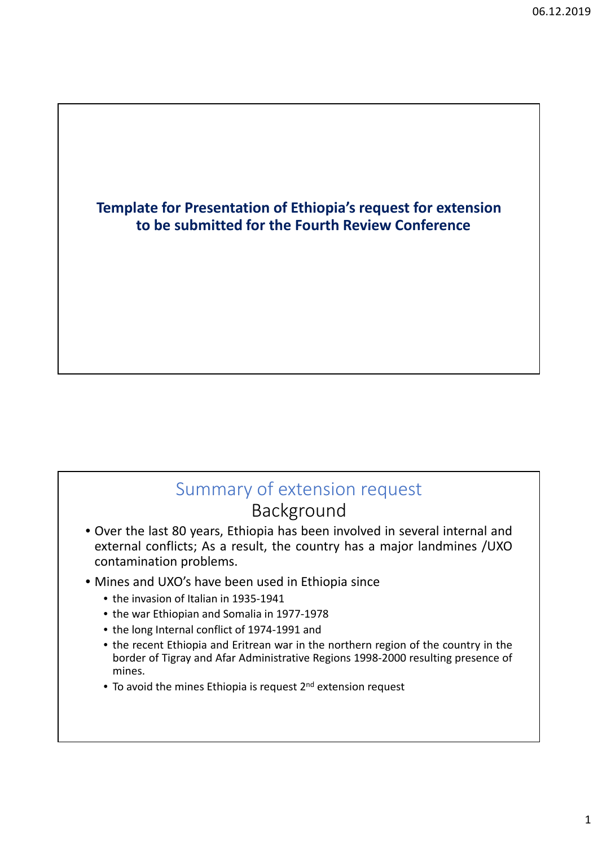### **Template for Presentation of Ethiopia's request for extension to be submitted for the Fourth Review Conference**

## Summary of extension request Background

- Over the last 80 years, Ethiopia has been involved in several internal and external conflicts; As a result, the country has a major landmines /UXO contamination problems.
- Mines and UXO's have been used in Ethiopia since
	- the invasion of Italian in 1935-1941
	- the war Ethiopian and Somalia in 1977‐1978
	- the long Internal conflict of 1974‐1991 and
	- the recent Ethiopia and Eritrean war in the northern region of the country in the border of Tigray and Afar Administrative Regions 1998‐2000 resulting presence of mines.
	- To avoid the mines Ethiopia is request  $2^{nd}$  extension request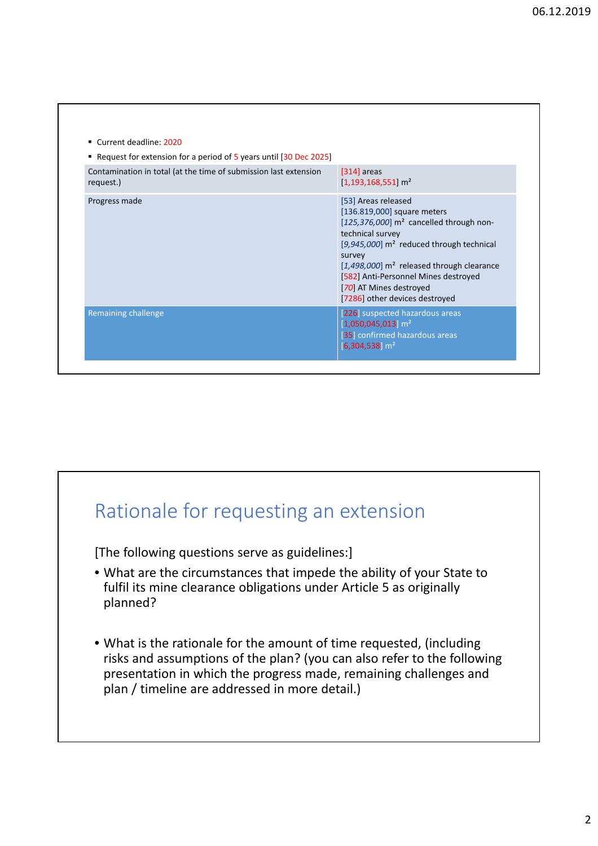| ■ Request for extension for a period of 5 years until [30 Dec 2025]           |                                                                                                                                                                                                                                                                                                                                                                         |
|-------------------------------------------------------------------------------|-------------------------------------------------------------------------------------------------------------------------------------------------------------------------------------------------------------------------------------------------------------------------------------------------------------------------------------------------------------------------|
| Contamination in total (at the time of submission last extension<br>request.) | $[314]$ areas<br>$[1,193,168,551]$ m <sup>2</sup>                                                                                                                                                                                                                                                                                                                       |
| Progress made                                                                 | [53] Areas released<br>[136.819,000] square meters<br>$[125,376,000]$ m <sup>2</sup> cancelled through non-<br>technical survey<br>[ $9,945,000$ ] m <sup>2</sup> reduced through technical<br>survey<br>[ $1,498,000$ ] m <sup>2</sup> released through clearance<br>[582] Anti-Personnel Mines destroyed<br>[70] AT Mines destroyed<br>[7286] other devices destroyed |
| Remaining challenge                                                           | [226] suspected hazardous areas<br>$[1,050,045,013]$ m <sup>2</sup><br>[35] confirmed hazardous areas<br>$[6,304,538]$ m <sup>2</sup>                                                                                                                                                                                                                                   |

# Rationale for requesting an extension

[The following questions serve as guidelines:]

- What are the circumstances that impede the ability of your State to fulfil its mine clearance obligations under Article 5 as originally planned?
- What is the rationale for the amount of time requested, (including risks and assumptions of the plan? (you can also refer to the following presentation in which the progress made, remaining challenges and plan / timeline are addressed in more detail.)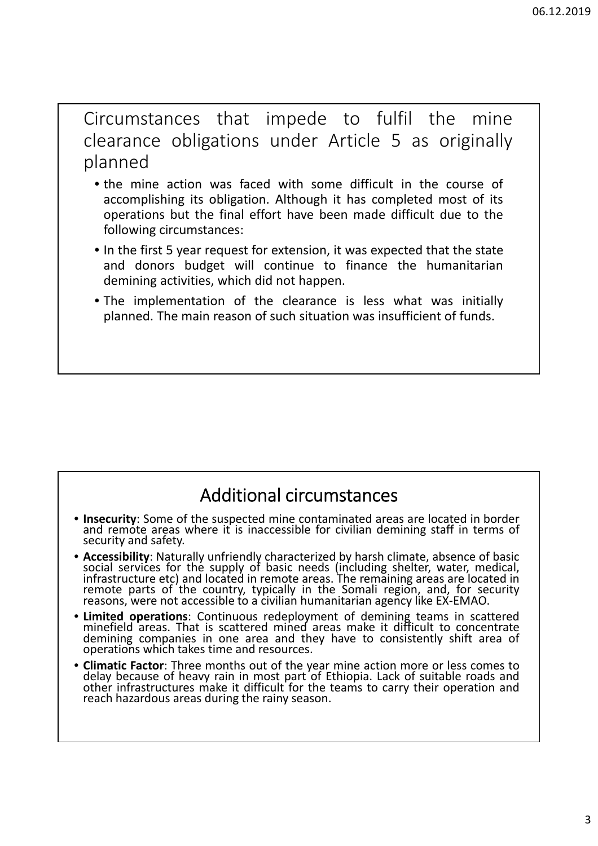Circumstances that impede to fulfil the mine clearance obligations under Article 5 as originally planned

- the mine action was faced with some difficult in the course of accomplishing its obligation. Although it has completed most of its operations but the final effort have been made difficult due to the following circumstances:
- In the first 5 year request for extension, it was expected that the state and donors budget will continue to finance the humanitarian demining activities, which did not happen.
- The implementation of the clearance is less what was initially planned. The main reason of such situation was insufficient of funds.

## Additional circumstances

- **Insecurity**: Some of the suspected mine contaminated areas are located in border and remote areas where it is inaccessible for civilian demining staff in terms of security and safety.
- **Accessibility**: Naturally unfriendly characterized by harsh climate, absence of basic social services for the supply of basic needs (including shelter, water, medical, infrastructure etc) and located in remote areas. The remaining areas are located in remote parts of the country, typically in the Somali region, and, for security reasons, were not accessible to a civilian humanitarian agency like EX‐EMAO.
- **Limited operations**: Continuous redeployment of demining teams in scattered minefield areas. That is scattered mined areas make it difficult to concentrate demining companies in one area and they have to consistently shift area of operations which takes time and resources.
- **Climatic Factor**: Three months out of the year mine action more or less comes to delay because of heavy rain in most part of Ethiopia. Lack of suitable roads and other infrastructures make it difficult for the teams to carry their operation and reach hazardous areas during the rainy season.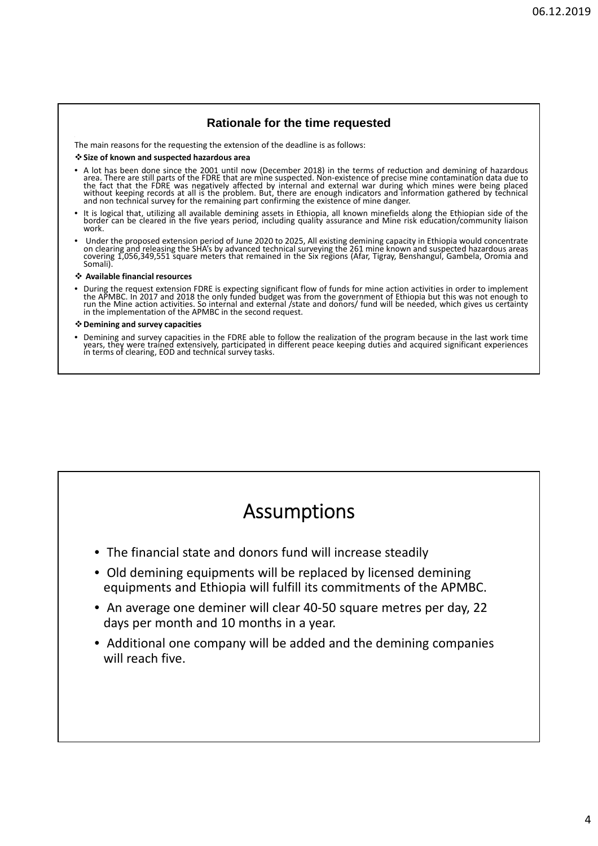### **Rationale for the time requested**

The main reasons for the requesting the extension of the deadline is as follows:

#### **Size of known and suspected hazardous area**

- A lot has been done since the 2001 until now (December 2018) in the terms of reduction and demining of hazardous area. There are still parts of the FDRE that are mine suspected. Non-existence of precise mine contaminatio
- It is logical that, utilizing all available demining assets in Ethiopia, all known minefields along the Ethiopian side of the<br>border can be cleared in the five years period, including quality assurance and Mine risk educat work.
- Under the proposed extension period of June 2020 to 2025, All existing demining capacity in Ethiopia would concentrate on clearing and releasing the SHA's by advanced technical surveying the 261 mine known and suspected hazardous areas<br>covering 1,056,349,551 square meters that remained in the Six regions (Afar, Tigray, Benshangul, Gambela,

#### **Available financial resources**

• During the request extension FDRE is expecting significant flow of funds for mine action activities in order to implement<br>the APMBC. In 2017 and 2018 the only funded budget was from the government of Ethiopia but this wa run the Mine action activities. So internal and external /state and donors/ fund will be needed, which gives us certainty<br>in the implementation of the APMBC in the second request.

#### **Demining and survey capacities**

• Demining and survey capacities in the FDRE able to follow the realization of the program because in the last work time years, they were trained extensively, participated in different peace keeping duties and acquired significant experiences in terms of clearing, EOD and technical survey tasks.

## Assumptions

- The financial state and donors fund will increase steadily
- Old demining equipments will be replaced by licensed demining equipments and Ethiopia will fulfill its commitments of the APMBC.
- An average one deminer will clear 40-50 square metres per day, 22 days per month and 10 months in a year.
- Additional one company will be added and the demining companies will reach five.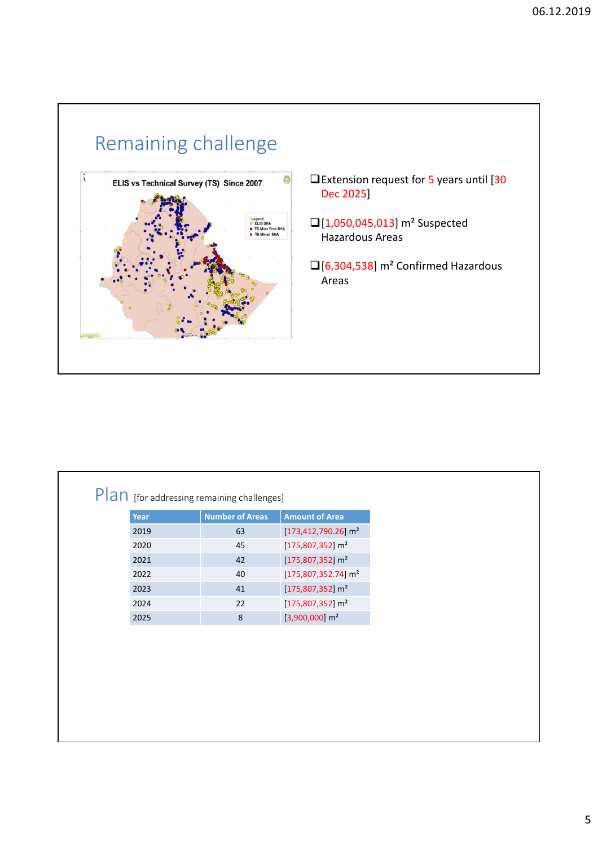

| $[173,412,790.26]$ m <sup>2</sup><br>2019<br>63<br>$[175,807,352]$ m <sup>2</sup><br>2020<br>45<br>$[175,807,352]$ m <sup>2</sup><br>2021<br>42<br>$[175,807,352.74]$ m <sup>2</sup><br>2022<br>40<br>$[175,807,352]$ m <sup>2</sup><br>2023<br>41<br>22<br>$[175,807,352]$ m <sup>2</sup><br>2024 |                                   |  |
|----------------------------------------------------------------------------------------------------------------------------------------------------------------------------------------------------------------------------------------------------------------------------------------------------|-----------------------------------|--|
|                                                                                                                                                                                                                                                                                                    |                                   |  |
|                                                                                                                                                                                                                                                                                                    |                                   |  |
|                                                                                                                                                                                                                                                                                                    |                                   |  |
|                                                                                                                                                                                                                                                                                                    |                                   |  |
|                                                                                                                                                                                                                                                                                                    |                                   |  |
|                                                                                                                                                                                                                                                                                                    |                                   |  |
| 2025                                                                                                                                                                                                                                                                                               | $[3,900,000]$ m <sup>2</sup><br>8 |  |

Г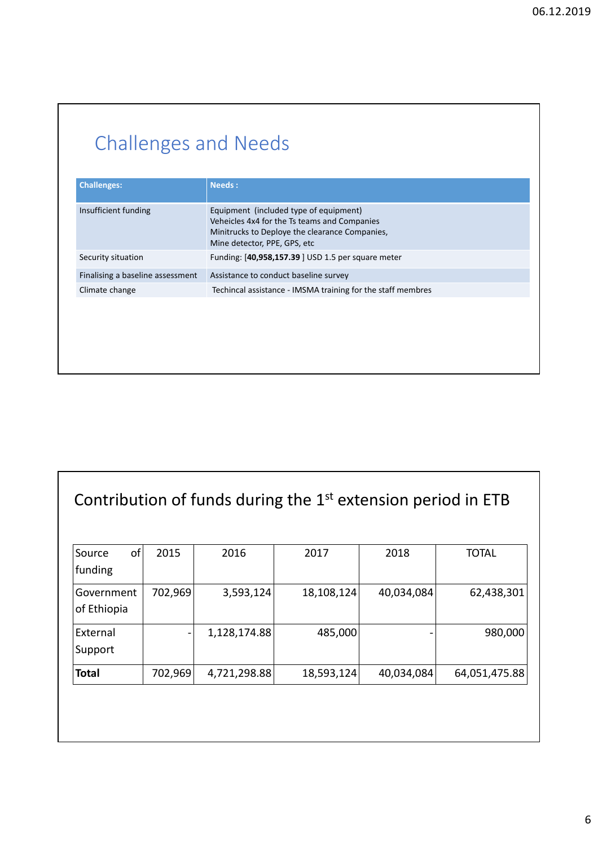# Challenges and Needs

| Insufficient funding<br>Equipment (included type of equipment)<br>Veheicles 4x4 for the Ts teams and Companies<br>Minitrucks to Deploye the clearance Companies,<br>Mine detector, PPE, GPS, etc<br>Funding: [40,958,157.39] USD 1.5 per square meter<br>Security situation | <b>Needs:</b> |
|-----------------------------------------------------------------------------------------------------------------------------------------------------------------------------------------------------------------------------------------------------------------------------|---------------|
|                                                                                                                                                                                                                                                                             |               |
|                                                                                                                                                                                                                                                                             |               |
| Finalising a baseline assessment<br>Assistance to conduct baseline survey                                                                                                                                                                                                   |               |
| Techincal assistance - IMSMA training for the staff membres<br>Climate change                                                                                                                                                                                               |               |

## Contribution of funds during the 1<sup>st</sup> extension period in ETB

| оf<br>Source<br>funding   | 2015    | 2016         | 2017       | 2018       | <b>TOTAL</b>  |
|---------------------------|---------|--------------|------------|------------|---------------|
| Government<br>of Ethiopia | 702,969 | 3,593,124    | 18,108,124 | 40,034,084 | 62,438,301    |
| External                  |         | 1,128,174.88 | 485,000    |            | 980,000       |
| Support<br><b>Total</b>   | 702,969 | 4,721,298.88 | 18,593,124 | 40,034,084 | 64,051,475.88 |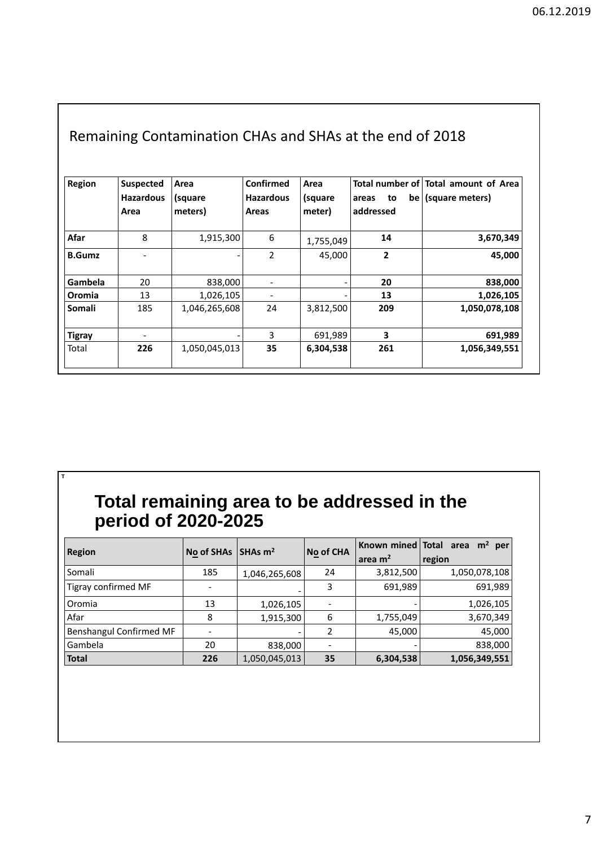| Remaining Contamination CHAs and SHAs at the end of 2018 |                                              |                            |                                        |                           |                          |                                                              |  |  |  |  |  |
|----------------------------------------------------------|----------------------------------------------|----------------------------|----------------------------------------|---------------------------|--------------------------|--------------------------------------------------------------|--|--|--|--|--|
| Region                                                   | <b>Suspected</b><br><b>Hazardous</b><br>Area | Area<br>(square<br>meters) | Confirmed<br><b>Hazardous</b><br>Areas | Area<br>(square<br>meter) | to<br>areas<br>addressed | Total number of Total amount of Area<br>$be$ (square meters) |  |  |  |  |  |
| Afar                                                     | 8                                            | 1,915,300                  | 6                                      | 1,755,049                 | 14                       | 3,670,349                                                    |  |  |  |  |  |
| <b>B.Gumz</b>                                            |                                              |                            | 2                                      | 45,000                    | 2                        | 45,000                                                       |  |  |  |  |  |
| Gambela                                                  | 20                                           | 838,000                    |                                        |                           | 20                       | 838,000                                                      |  |  |  |  |  |
| Oromia                                                   | 13                                           | 1,026,105                  |                                        |                           | 13                       | 1,026,105                                                    |  |  |  |  |  |
| Somali                                                   | 185                                          | 1,046,265,608              | 24                                     | 3,812,500                 | 209                      | 1,050,078,108                                                |  |  |  |  |  |
| <b>Tigray</b>                                            |                                              |                            | 3                                      | 691,989                   | 3                        | 691,989                                                      |  |  |  |  |  |
| Total                                                    | 226                                          | 1,050,045,013              | 35                                     | 6,304,538                 | 261                      | 1,056,349,551                                                |  |  |  |  |  |

### **Total remaining area to be addressed in the period of 2020-2025**

**T**

| <b>Region</b>           | <b>No of SHAs</b> | $\sqrt{SHAs}$ m <sup>2</sup> | No of CHA |           | Known mined   Total area $m2$ per |
|-------------------------|-------------------|------------------------------|-----------|-----------|-----------------------------------|
|                         |                   |                              |           | area $m2$ | region                            |
| Somali                  | 185               | 1,046,265,608                | 24        | 3,812,500 | 1,050,078,108                     |
| Tigray confirmed MF     |                   |                              | 3         | 691,989   | 691,989                           |
| Oromia                  | 13                | 1,026,105                    |           |           | 1,026,105                         |
| Afar                    | 8                 | 1,915,300                    | 6         | 1,755,049 | 3,670,349                         |
| Benshangul Confirmed MF |                   |                              | 2         | 45,000    | 45,000                            |
| Gambela                 | 20                | 838,000                      |           |           | 838,000                           |
| Total                   | 226               | 1,050,045,013                | 35        | 6,304,538 | 1,056,349,551                     |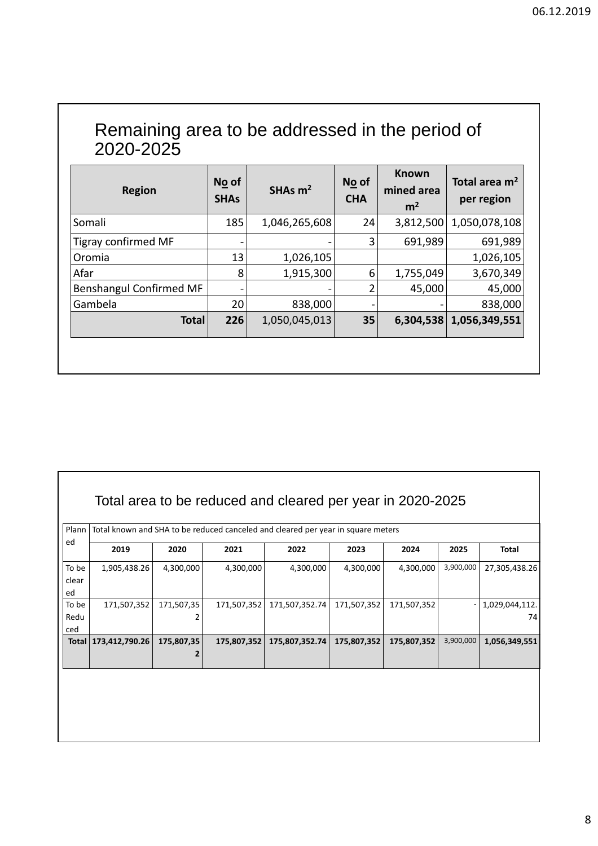| Remaining area to be addressed in the period of<br>2020-2025 |                      |               |                     |                                              |                               |  |  |  |  |
|--------------------------------------------------------------|----------------------|---------------|---------------------|----------------------------------------------|-------------------------------|--|--|--|--|
| <b>Region</b>                                                | No of<br><b>SHAs</b> | SHAs $m2$     | No of<br><b>CHA</b> | <b>Known</b><br>mined area<br>m <sup>2</sup> | Total area $m2$<br>per region |  |  |  |  |
| Somali                                                       | 185                  | 1,046,265,608 | 24                  | 3,812,500                                    | 1,050,078,108                 |  |  |  |  |
| <b>Tigray confirmed MF</b>                                   |                      |               | 3                   | 691,989                                      | 691,989                       |  |  |  |  |
| Oromia                                                       | 13                   | 1,026,105     |                     |                                              | 1,026,105                     |  |  |  |  |
| Afar                                                         | 8                    | 1,915,300     | 6                   | 1,755,049                                    | 3,670,349                     |  |  |  |  |
| <b>Benshangul Confirmed MF</b>                               |                      |               | 2                   | 45,000                                       | 45,000                        |  |  |  |  |
| Gambela                                                      | 20                   | 838,000       |                     |                                              | 838,000                       |  |  |  |  |
| <b>Total</b>                                                 | 226                  | 1,050,045,013 | 35                  |                                              | 6,304,538 1,056,349,551       |  |  |  |  |

| Plann |                |            |             | Total known and SHA to be reduced canceled and cleared per year in square meters |             |             |           |                |
|-------|----------------|------------|-------------|----------------------------------------------------------------------------------|-------------|-------------|-----------|----------------|
| ed    | 2019           | 2020       | 2021        | 2022                                                                             | 2023        | 2024        | 2025      | <b>Total</b>   |
| To be | 1,905,438.26   | 4,300,000  | 4,300,000   | 4,300,000                                                                        | 4,300,000   | 4,300,000   | 3,900,000 | 27,305,438.26  |
| clear |                |            |             |                                                                                  |             |             |           |                |
| ed    |                |            |             |                                                                                  |             |             |           |                |
| To be | 171,507,352    | 171,507,35 | 171,507,352 | 171,507,352.74                                                                   | 171,507,352 | 171,507,352 |           | 1,029,044,112. |
| Redu  |                |            |             |                                                                                  |             |             |           | 74             |
| ced   |                |            |             |                                                                                  |             |             |           |                |
| Total | 173,412,790.26 | 175,807,35 | 175,807,352 | 175,807,352.74                                                                   | 175,807,352 | 175,807,352 | 3,900,000 | 1,056,349,551  |
|       |                |            |             |                                                                                  |             |             |           |                |
|       |                |            |             |                                                                                  |             |             |           |                |
|       |                |            |             |                                                                                  |             |             |           |                |